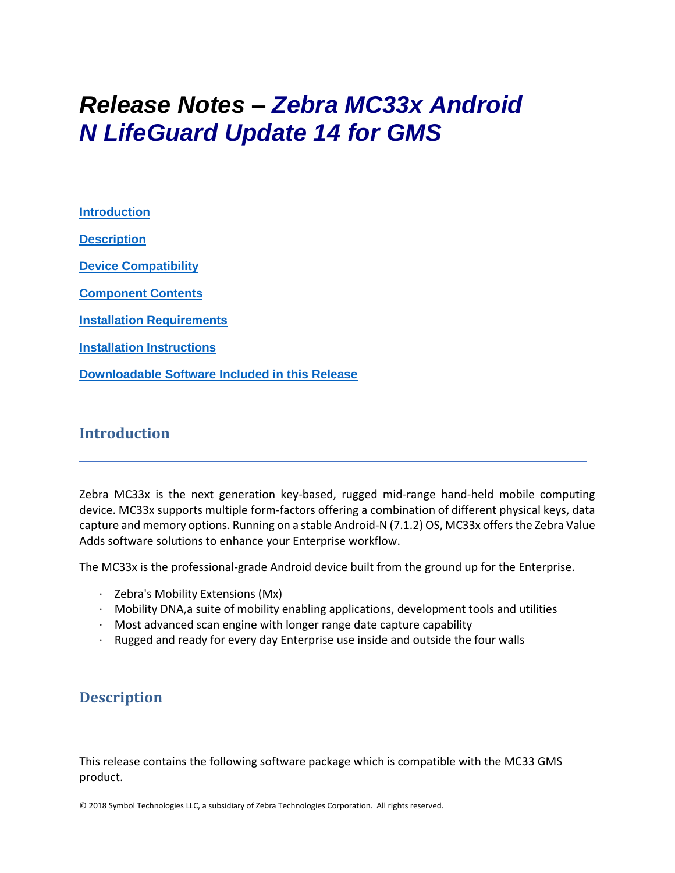# *Release Notes – Zebra MC33x Android N LifeGuard Update 14 for GMS*

**[Introduction](#page-0-0) [Description](#page-0-1) [Device Compatibility](#page-10-0) [Component Contents](#page-1-0) [Installation Requirements](#page-12-0) [Installation Instructions](#page-13-0) [Downloadable Software Included in this Release](#page-15-0)**

## <span id="page-0-0"></span>**Introduction**

Zebra MC33x is the next generation key-based, rugged mid-range hand-held mobile computing device. MC33x supports multiple form-factors offering a combination of different physical keys, data capture and memory options. Running on a stable Android-N (7.1.2) OS, MC33x offers the Zebra Value Adds software solutions to enhance your Enterprise workflow.

The MC33x is the professional-grade Android device built from the ground up for the Enterprise.

- · Zebra's Mobility Extensions (Mx)
- · Mobility DNA,a suite of mobility enabling applications, development tools and utilities
- $\cdot$  Most advanced scan engine with longer range date capture capability
- · Rugged and ready for every day Enterprise use inside and outside the four walls

## <span id="page-0-1"></span>**Description**

This release contains the following software package which is compatible with the MC33 GMS product.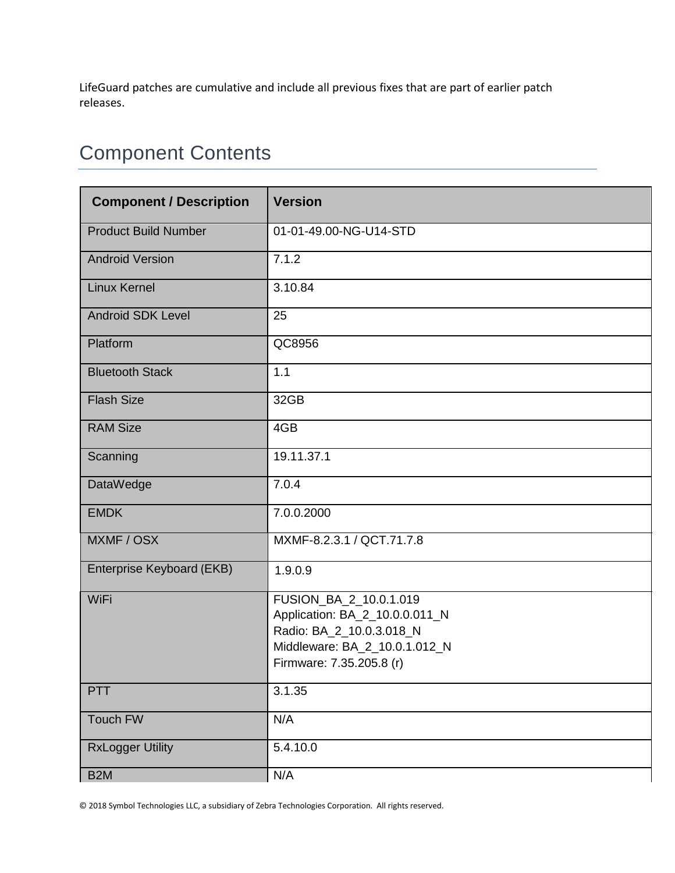LifeGuard patches are cumulative and include all previous fixes that are part of earlier patch releases.

## <span id="page-1-0"></span>Component Contents

| <b>Component / Description</b> | <b>Version</b>                                                                                                                                    |  |
|--------------------------------|---------------------------------------------------------------------------------------------------------------------------------------------------|--|
| <b>Product Build Number</b>    | 01-01-49.00-NG-U14-STD                                                                                                                            |  |
| <b>Android Version</b>         | 7.1.2                                                                                                                                             |  |
| <b>Linux Kernel</b>            | 3.10.84                                                                                                                                           |  |
| <b>Android SDK Level</b>       | 25                                                                                                                                                |  |
| Platform                       | QC8956                                                                                                                                            |  |
| <b>Bluetooth Stack</b>         | 1.1                                                                                                                                               |  |
| <b>Flash Size</b>              | 32GB                                                                                                                                              |  |
| <b>RAM Size</b>                | 4GB                                                                                                                                               |  |
| Scanning                       | 19.11.37.1                                                                                                                                        |  |
| <b>DataWedge</b>               | 7.0.4                                                                                                                                             |  |
| <b>EMDK</b>                    | 7.0.0.2000                                                                                                                                        |  |
| MXMF / OSX                     | MXMF-8.2.3.1 / QCT.71.7.8                                                                                                                         |  |
| Enterprise Keyboard (EKB)      | 1.9.0.9                                                                                                                                           |  |
| WiFi                           | FUSION_BA_2_10.0.1.019<br>Application: BA_2_10.0.0.011_N<br>Radio: BA_2_10.0.3.018_N<br>Middleware: BA_2_10.0.1.012_N<br>Firmware: 7.35.205.8 (r) |  |
| <b>PTT</b>                     | 3.1.35                                                                                                                                            |  |
| Touch FW                       | N/A                                                                                                                                               |  |
| <b>RxLogger Utility</b>        | 5.4.10.0                                                                                                                                          |  |
| B <sub>2</sub> M               | N/A                                                                                                                                               |  |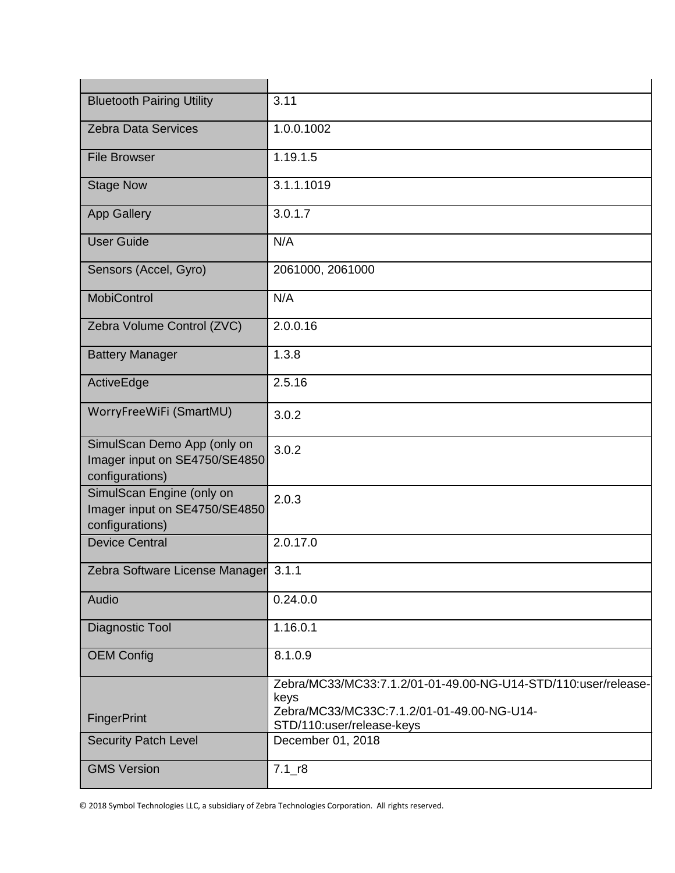| <b>Bluetooth Pairing Utility</b>                                                | 3.11                                                                                                                                              |  |
|---------------------------------------------------------------------------------|---------------------------------------------------------------------------------------------------------------------------------------------------|--|
| <b>Zebra Data Services</b>                                                      | 1.0.0.1002                                                                                                                                        |  |
| <b>File Browser</b>                                                             | 1.19.1.5                                                                                                                                          |  |
| <b>Stage Now</b>                                                                | 3.1.1.1019                                                                                                                                        |  |
| <b>App Gallery</b>                                                              | 3.0.1.7                                                                                                                                           |  |
| <b>User Guide</b>                                                               | N/A                                                                                                                                               |  |
| Sensors (Accel, Gyro)                                                           | 2061000, 2061000                                                                                                                                  |  |
| <b>MobiControl</b>                                                              | N/A                                                                                                                                               |  |
| Zebra Volume Control (ZVC)                                                      | 2.0.0.16                                                                                                                                          |  |
| <b>Battery Manager</b>                                                          | 1.3.8                                                                                                                                             |  |
| ActiveEdge                                                                      | 2.5.16                                                                                                                                            |  |
| WorryFreeWiFi (SmartMU)                                                         | 3.0.2                                                                                                                                             |  |
| SimulScan Demo App (only on<br>Imager input on SE4750/SE4850<br>configurations) | 3.0.2                                                                                                                                             |  |
| SimulScan Engine (only on<br>Imager input on SE4750/SE4850<br>configurations)   | 2.0.3                                                                                                                                             |  |
| <b>Device Central</b>                                                           | 2.0.17.0                                                                                                                                          |  |
| Zebra Software License Manager 3.1.1                                            |                                                                                                                                                   |  |
| Audio                                                                           | 0.24.0.0                                                                                                                                          |  |
| Diagnostic Tool                                                                 | 1.16.0.1                                                                                                                                          |  |
| <b>OEM Config</b>                                                               | 8.1.0.9                                                                                                                                           |  |
| <b>FingerPrint</b>                                                              | Zebra/MC33/MC33:7.1.2/01-01-49.00-NG-U14-STD/110:user/release-<br>keys<br>Zebra/MC33/MC33C:7.1.2/01-01-49.00-NG-U14-<br>STD/110:user/release-keys |  |
| <b>Security Patch Level</b>                                                     | December 01, 2018                                                                                                                                 |  |
| <b>GMS Version</b>                                                              | $7.1 - r8$                                                                                                                                        |  |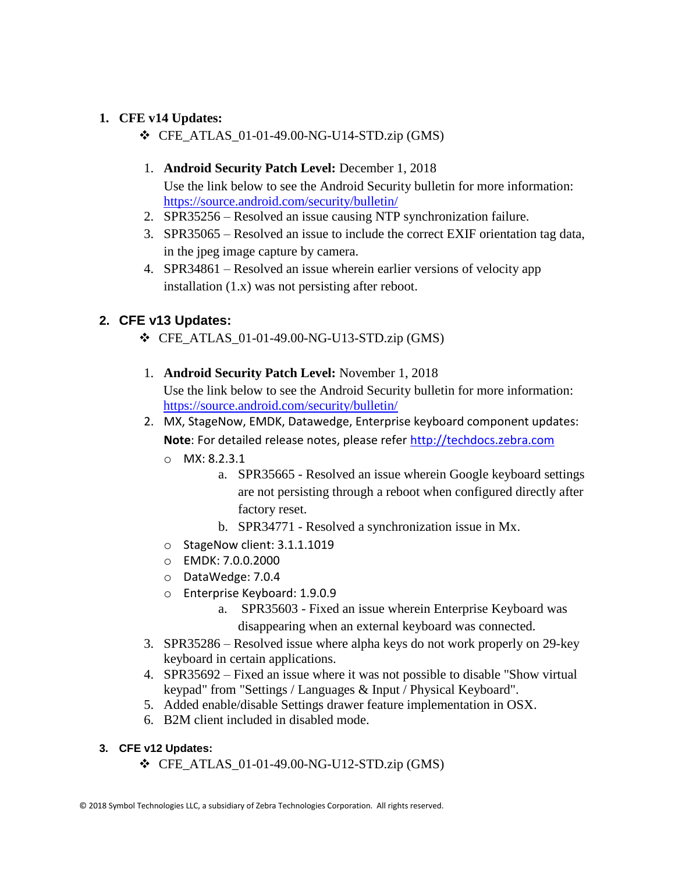#### **1. CFE v14 Updates:**

- ❖ CFE\_ATLAS\_01-01-49.00-NG-U14-STD.zip (GMS)
- 1. **Android Security Patch Level:** December 1, 2018 Use the link below to see the Android Security bulletin for more information: <https://source.android.com/security/bulletin/>
- 2. SPR35256 Resolved an issue causing NTP synchronization failure.
- 3. SPR35065 Resolved an issue to include the correct EXIF orientation tag data, in the jpeg image capture by camera.
- 4. SPR34861 Resolved an issue wherein earlier versions of velocity app installation (1.x) was not persisting after reboot.

### **2. CFE v13 Updates:**

- ❖ CFE\_ATLAS\_01-01-49.00-NG-U13-STD.zip (GMS)
- 1. **Android Security Patch Level:** November 1, 2018 Use the link below to see the Android Security bulletin for more information: <https://source.android.com/security/bulletin/>
- 2. MX, StageNow, EMDK, Datawedge, Enterprise keyboard component updates: **Note**: For detailed release notes, please refer [http://techdocs.zebra.com](http://techdocs.zebra.com/)
	- o MX: 8.2.3.1
		- a. SPR35665 Resolved an issue wherein Google keyboard settings are not persisting through a reboot when configured directly after factory reset.
		- b. SPR34771 Resolved a synchronization issue in Mx.
	- o StageNow client: 3.1.1.1019
	- o EMDK: 7.0.0.2000
	- o DataWedge: 7.0.4
	- o Enterprise Keyboard: 1.9.0.9
		- a. SPR35603 Fixed an issue wherein Enterprise Keyboard was disappearing when an external keyboard was connected.
- 3. SPR35286 Resolved issue where alpha keys do not work properly on 29-key keyboard in certain applications.
- 4. SPR35692 Fixed an issue where it was not possible to disable "Show virtual keypad" from "Settings / Languages & Input / Physical Keyboard".
- 5. Added enable/disable Settings drawer feature implementation in OSX.
- 6. B2M client included in disabled mode.
- **3. CFE v12 Updates:**
	- $\div$  CFE\_ATLAS\_01-01-49.00-NG-U12-STD.zip (GMS)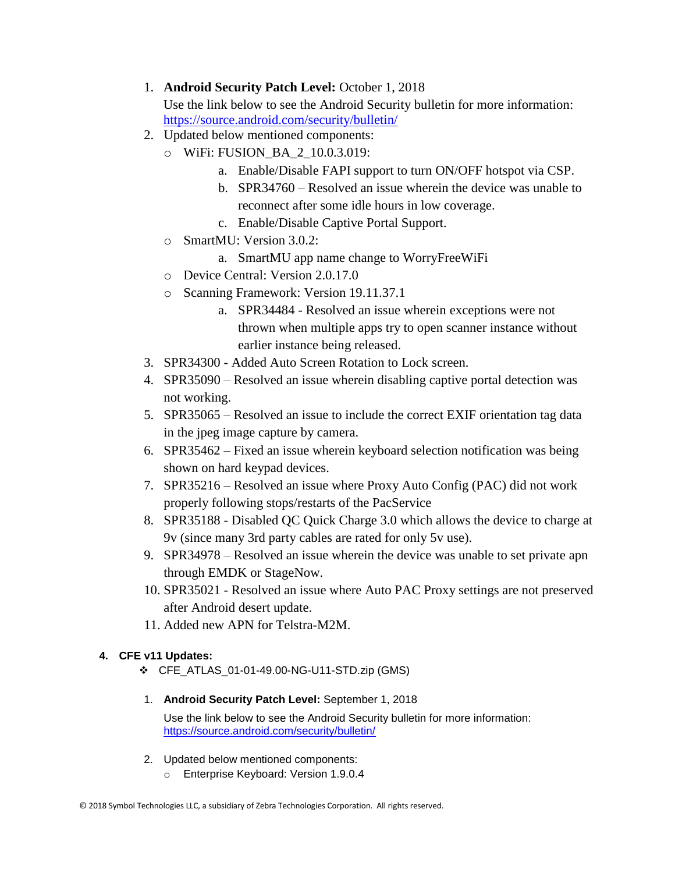#### 1. **Android Security Patch Level:** October 1, 2018

Use the link below to see the Android Security bulletin for more information: <https://source.android.com/security/bulletin/>

- 2. Updated below mentioned components:
	- o WiFi: FUSION\_BA\_2\_10.0.3.019:
		- a. Enable/Disable FAPI support to turn ON/OFF hotspot via CSP.
		- b. SPR34760 Resolved an issue wherein the device was unable to reconnect after some idle hours in low coverage.
		- c. Enable/Disable Captive Portal Support.
	- o SmartMU: Version 3.0.2:
		- a. SmartMU app name change to WorryFreeWiFi
	- o Device Central: Version 2.0.17.0
	- o Scanning Framework: Version 19.11.37.1
		- a. SPR34484 Resolved an issue wherein exceptions were not thrown when multiple apps try to open scanner instance without earlier instance being released.
- 3. SPR34300 Added Auto Screen Rotation to Lock screen.
- 4. SPR35090 Resolved an issue wherein disabling captive portal detection was not working.
- 5. SPR35065 Resolved an issue to include the correct EXIF orientation tag data in the jpeg image capture by camera.
- 6. SPR35462 Fixed an issue wherein keyboard selection notification was being shown on hard keypad devices.
- 7. SPR35216 Resolved an issue where Proxy Auto Config (PAC) did not work properly following stops/restarts of the PacService
- 8. SPR35188 Disabled QC Quick Charge 3.0 which allows the device to charge at 9v (since many 3rd party cables are rated for only 5v use).
- 9. SPR34978 Resolved an issue wherein the device was unable to set private apn through EMDK or StageNow.
- 10. SPR35021 Resolved an issue where Auto PAC Proxy settings are not preserved after Android desert update.
- 11. Added new APN for Telstra-M2M.

#### **4. CFE v11 Updates:**

- ❖ CFE\_ATLAS\_01-01-49.00-NG-U11-STD.zip (GMS)
- 1. **Android Security Patch Level:** September 1, 2018

Use the link below to see the Android Security bulletin for more information: <https://source.android.com/security/bulletin/>

- 2. Updated below mentioned components:
	- o Enterprise Keyboard: Version 1.9.0.4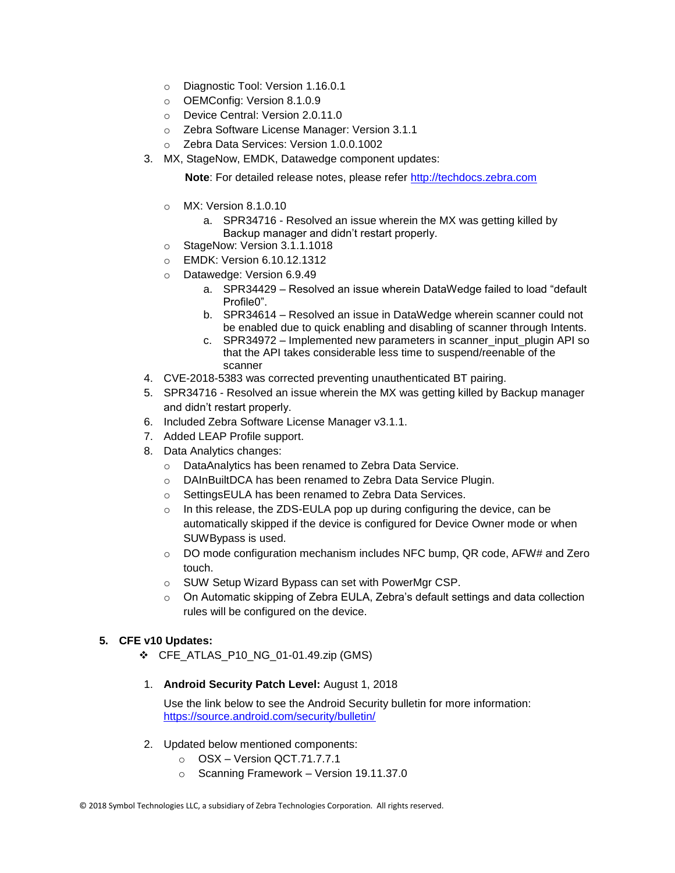- o Diagnostic Tool: Version 1.16.0.1
- o OEMConfig: Version 8.1.0.9
- o Device Central: Version 2.0.11.0
- o Zebra Software License Manager: Version 3.1.1
- o Zebra Data Services: Version 1.0.0.1002
- 3. MX, StageNow, EMDK, Datawedge component updates:

**Note:** For detailed release notes, please refer [http://techdocs.zebra.com](http://techdocs.zebra.com/)

- o MX: Version 8.1.0.10
	- a. SPR34716 Resolved an issue wherein the MX was getting killed by Backup manager and didn't restart properly.
- o StageNow: Version 3.1.1.1018
- o EMDK: Version 6.10.12.1312
- o Datawedge: Version 6.9.49
	- a. SPR34429 Resolved an issue wherein DataWedge failed to load "default Profile0".
	- b. SPR34614 Resolved an issue in DataWedge wherein scanner could not be enabled due to quick enabling and disabling of scanner through Intents.
	- c. SPR34972 Implemented new parameters in scanner input plugin API so that the API takes considerable less time to suspend/reenable of the scanner
- 4. CVE-2018-5383 was corrected preventing unauthenticated BT pairing.
- 5. SPR34716 Resolved an issue wherein the MX was getting killed by Backup manager and didn't restart properly.
- 6. Included Zebra Software License Manager v3.1.1.
- 7. Added LEAP Profile support.
- 8. Data Analytics changes:
	- o DataAnalytics has been renamed to Zebra Data Service.
	- o DAInBuiltDCA has been renamed to Zebra Data Service Plugin.
	- o SettingsEULA has been renamed to Zebra Data Services.
	- o In this release, the ZDS-EULA pop up during configuring the device, can be automatically skipped if the device is configured for Device Owner mode or when SUWBypass is used.
	- $\circ$  DO mode configuration mechanism includes NFC bump, QR code, AFW# and Zero touch.
	- o SUW Setup Wizard Bypass can set with PowerMgr CSP.
	- $\circ$  On Automatic skipping of Zebra EULA, Zebra's default settings and data collection rules will be configured on the device.

#### **5. CFE v10 Updates:**

- ❖ CFE\_ATLAS\_P10\_NG\_01-01.49.zip (GMS)
- 1. **Android Security Patch Level:** August 1, 2018

Use the link below to see the Android Security bulletin for more information: <https://source.android.com/security/bulletin/>

- 2. Updated below mentioned components:
	- o OSX Version QCT.71.7.7.1
	- o Scanning Framework Version 19.11.37.0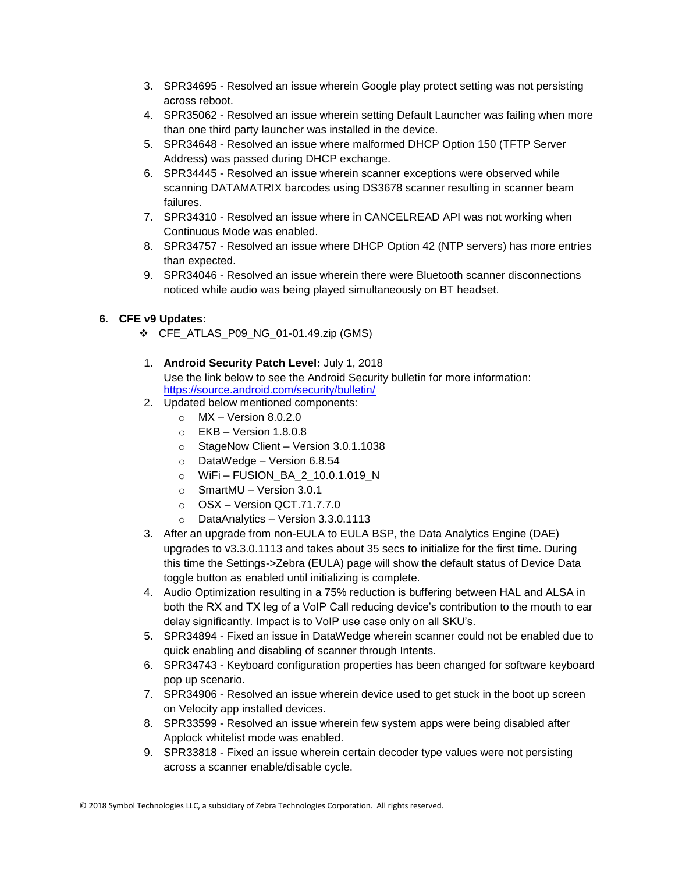- 3. SPR34695 Resolved an issue wherein Google play protect setting was not persisting across reboot.
- 4. SPR35062 Resolved an issue wherein setting Default Launcher was failing when more than one third party launcher was installed in the device.
- 5. SPR34648 Resolved an issue where malformed DHCP Option 150 (TFTP Server Address) was passed during DHCP exchange.
- 6. SPR34445 Resolved an issue wherein scanner exceptions were observed while scanning DATAMATRIX barcodes using DS3678 scanner resulting in scanner beam failures.
- 7. SPR34310 Resolved an issue where in CANCELREAD API was not working when Continuous Mode was enabled.
- 8. SPR34757 Resolved an issue where DHCP Option 42 (NTP servers) has more entries than expected.
- 9. SPR34046 Resolved an issue wherein there were Bluetooth scanner disconnections noticed while audio was being played simultaneously on BT headset.

#### **6. CFE v9 Updates:**

- ❖ CFE\_ATLAS\_P09\_NG\_01-01.49.zip (GMS)
- 1. **Android Security Patch Level:** July 1, 2018 Use the link below to see the Android Security bulletin for more information: <https://source.android.com/security/bulletin/>
- 2. Updated below mentioned components:
	- $\circ$  MX Version 8.0.2.0
	- o EKB Version 1.8.0.8
	- o StageNow Client Version 3.0.1.1038
	- o DataWedge Version 6.8.54
	- o WiFi FUSION\_BA\_2\_10.0.1.019\_N
	- o SmartMU Version 3.0.1
	- o OSX Version QCT.71.7.7.0
	- o DataAnalytics Version 3.3.0.1113
- 3. After an upgrade from non-EULA to EULA BSP, the Data Analytics Engine (DAE) upgrades to v3.3.0.1113 and takes about 35 secs to initialize for the first time. During this time the Settings->Zebra (EULA) page will show the default status of Device Data toggle button as enabled until initializing is complete.
- 4. Audio Optimization resulting in a 75% reduction is buffering between HAL and ALSA in both the RX and TX leg of a VoIP Call reducing device's contribution to the mouth to ear delay significantly. Impact is to VoIP use case only on all SKU's.
- 5. SPR34894 Fixed an issue in DataWedge wherein scanner could not be enabled due to quick enabling and disabling of scanner through Intents.
- 6. SPR34743 Keyboard configuration properties has been changed for software keyboard pop up scenario.
- 7. SPR34906 Resolved an issue wherein device used to get stuck in the boot up screen on Velocity app installed devices.
- 8. SPR33599 Resolved an issue wherein few system apps were being disabled after Applock whitelist mode was enabled.
- 9. SPR33818 Fixed an issue wherein certain decoder type values were not persisting across a scanner enable/disable cycle.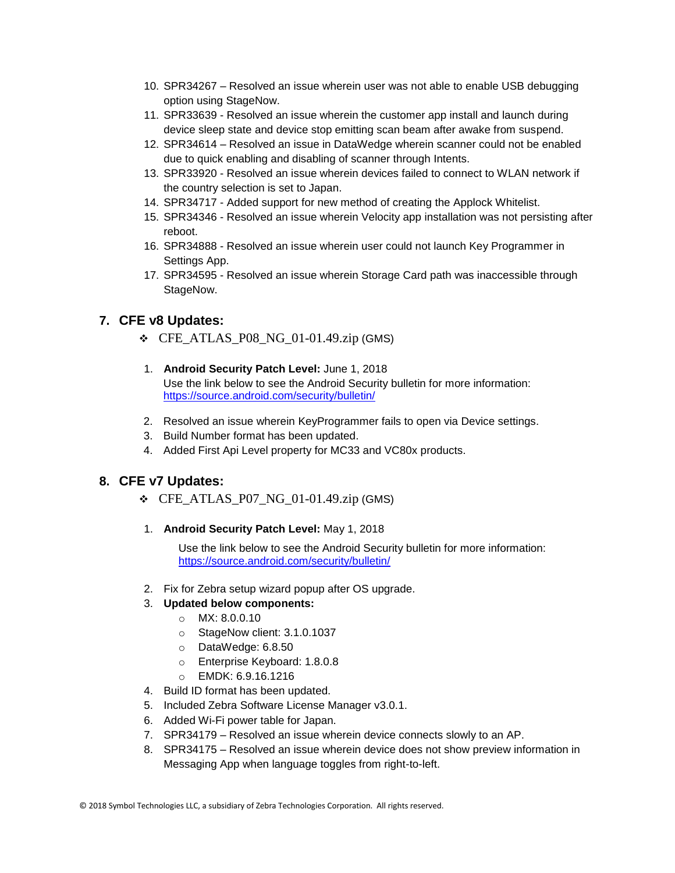- 10. SPR34267 Resolved an issue wherein user was not able to enable USB debugging option using StageNow.
- 11. SPR33639 Resolved an issue wherein the customer app install and launch during device sleep state and device stop emitting scan beam after awake from suspend.
- 12. SPR34614 Resolved an issue in DataWedge wherein scanner could not be enabled due to quick enabling and disabling of scanner through Intents.
- 13. SPR33920 Resolved an issue wherein devices failed to connect to WLAN network if the country selection is set to Japan.
- 14. SPR34717 Added support for new method of creating the Applock Whitelist.
- 15. SPR34346 Resolved an issue wherein Velocity app installation was not persisting after reboot.
- 16. SPR34888 Resolved an issue wherein user could not launch Key Programmer in Settings App.
- 17. SPR34595 Resolved an issue wherein Storage Card path was inaccessible through StageNow.

#### **7. CFE v8 Updates:**

- ❖ CFE\_ATLAS\_P08\_NG\_01-01.49.zip (GMS)
- 1. **Android Security Patch Level:** June 1, 2018 Use the link below to see the Android Security bulletin for more information: <https://source.android.com/security/bulletin/>
- 2. Resolved an issue wherein KeyProgrammer fails to open via Device settings.
- 3. Build Number format has been updated.
- 4. Added First Api Level property for MC33 and VC80x products.

#### **8. CFE v7 Updates:**

- $\div$  CFE\_ATLAS\_P07\_NG\_01-01.49.zip (GMS)
- 1. **Android Security Patch Level:** May 1, 2018

Use the link below to see the Android Security bulletin for more information: <https://source.android.com/security/bulletin/>

2. Fix for Zebra setup wizard popup after OS upgrade.

#### 3. **Updated below components:**

- o MX: 8.0.0.10
- o StageNow client: 3.1.0.1037
- o DataWedge: 6.8.50
- o Enterprise Keyboard: 1.8.0.8
- o EMDK: 6.9.16.1216
- 4. Build ID format has been updated.
- 5. Included Zebra Software License Manager v3.0.1.
- 6. Added Wi-Fi power table for Japan.
- 7. SPR34179 Resolved an issue wherein device connects slowly to an AP.
- 8. SPR34175 Resolved an issue wherein device does not show preview information in Messaging App when language toggles from right-to-left.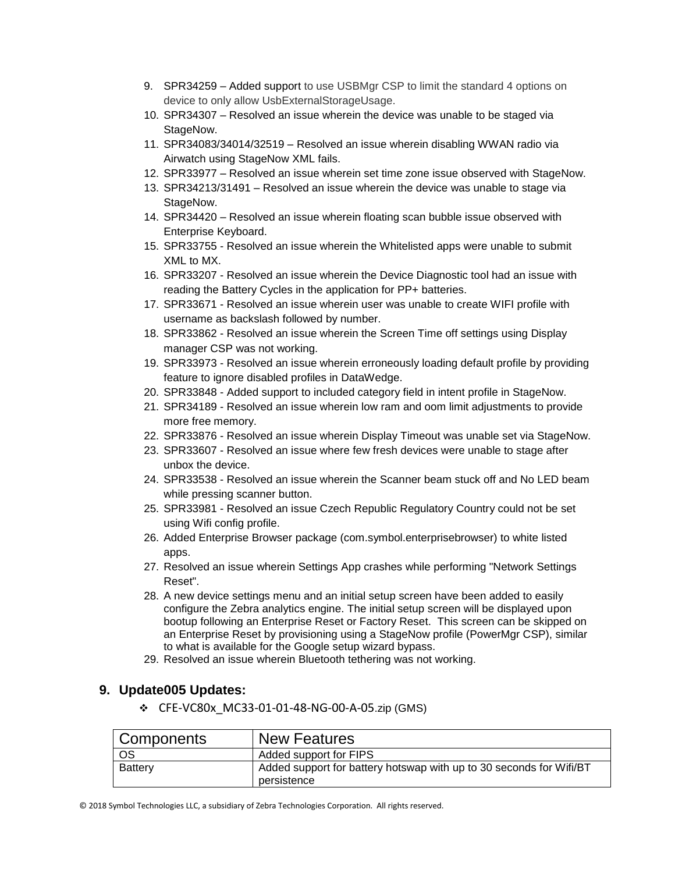- 9. SPR34259 Added support to use USBMgr CSP to limit the standard 4 options on device to only allow UsbExternalStorageUsage.
- 10. SPR34307 Resolved an issue wherein the device was unable to be staged via StageNow.
- 11. SPR34083/34014/32519 Resolved an issue wherein disabling WWAN radio via Airwatch using StageNow XML fails.
- 12. SPR33977 Resolved an issue wherein set time zone issue observed with StageNow.
- 13. SPR34213/31491 Resolved an issue wherein the device was unable to stage via StageNow.
- 14. SPR34420 Resolved an issue wherein floating scan bubble issue observed with Enterprise Keyboard.
- 15. SPR33755 Resolved an issue wherein the Whitelisted apps were unable to submit XML to MX.
- 16. SPR33207 Resolved an issue wherein the Device Diagnostic tool had an issue with reading the Battery Cycles in the application for PP+ batteries.
- 17. SPR33671 Resolved an issue wherein user was unable to create WIFI profile with username as backslash followed by number.
- 18. SPR33862 Resolved an issue wherein the Screen Time off settings using Display manager CSP was not working.
- 19. SPR33973 Resolved an issue wherein erroneously loading default profile by providing feature to ignore disabled profiles in DataWedge.
- 20. SPR33848 Added support to included category field in intent profile in StageNow.
- 21. SPR34189 Resolved an issue wherein low ram and oom limit adjustments to provide more free memory.
- 22. SPR33876 Resolved an issue wherein Display Timeout was unable set via StageNow.
- 23. SPR33607 Resolved an issue where few fresh devices were unable to stage after unbox the device.
- 24. SPR33538 Resolved an issue wherein the Scanner beam stuck off and No LED beam while pressing scanner button.
- 25. SPR33981 Resolved an issue Czech Republic Regulatory Country could not be set using Wifi config profile.
- 26. Added Enterprise Browser package (com.symbol.enterprisebrowser) to white listed apps.
- 27. Resolved an issue wherein Settings App crashes while performing "Network Settings Reset".
- 28. A new device settings menu and an initial setup screen have been added to easily configure the Zebra analytics engine. The initial setup screen will be displayed upon bootup following an Enterprise Reset or Factory Reset. This screen can be skipped on an Enterprise Reset by provisioning using a StageNow profile (PowerMgr CSP), similar to what is available for the Google setup wizard bypass.
- 29. Resolved an issue wherein Bluetooth tethering was not working.

#### **9. Update005 Updates:**

❖ CFE-VC80x\_MC33-01-01-48-NG-00-A-05.zip (GMS)

| Components | <b>New Features</b>                                                                |
|------------|------------------------------------------------------------------------------------|
| OS         | Added support for FIPS                                                             |
| Battery    | Added support for battery hotswap with up to 30 seconds for Wifi/BT<br>persistence |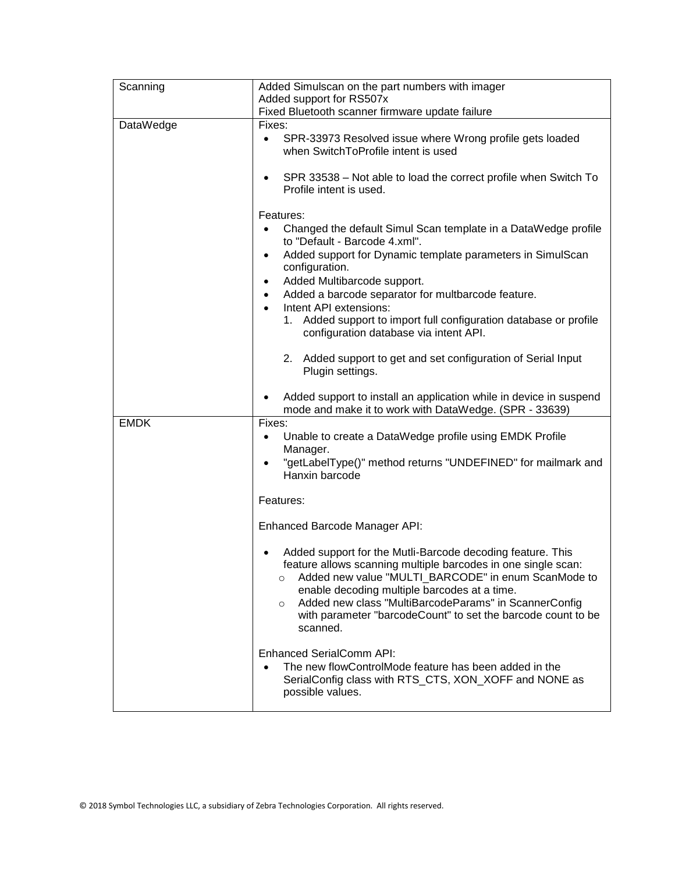| Scanning    | Added Simulscan on the part numbers with imager                                                                                                                                                                                                                                                                                                                                               |  |
|-------------|-----------------------------------------------------------------------------------------------------------------------------------------------------------------------------------------------------------------------------------------------------------------------------------------------------------------------------------------------------------------------------------------------|--|
|             | Added support for RS507x                                                                                                                                                                                                                                                                                                                                                                      |  |
|             | Fixed Bluetooth scanner firmware update failure                                                                                                                                                                                                                                                                                                                                               |  |
| DataWedge   | Fixes:<br>SPR-33973 Resolved issue where Wrong profile gets loaded<br>$\bullet$<br>when SwitchToProfile intent is used                                                                                                                                                                                                                                                                        |  |
|             | SPR 33538 - Not able to load the correct profile when Switch To<br>Profile intent is used.                                                                                                                                                                                                                                                                                                    |  |
|             | Features:                                                                                                                                                                                                                                                                                                                                                                                     |  |
|             | Changed the default Simul Scan template in a DataWedge profile<br>to "Default - Barcode 4.xml".                                                                                                                                                                                                                                                                                               |  |
|             | Added support for Dynamic template parameters in SimulScan<br>٠<br>configuration.                                                                                                                                                                                                                                                                                                             |  |
|             | Added Multibarcode support.<br>٠                                                                                                                                                                                                                                                                                                                                                              |  |
|             | Added a barcode separator for multbarcode feature.<br>$\bullet$                                                                                                                                                                                                                                                                                                                               |  |
|             | Intent API extensions:<br>$\bullet$<br>1. Added support to import full configuration database or profile<br>configuration database via intent API.                                                                                                                                                                                                                                            |  |
|             | 2. Added support to get and set configuration of Serial Input<br>Plugin settings.                                                                                                                                                                                                                                                                                                             |  |
|             | Added support to install an application while in device in suspend<br>mode and make it to work with DataWedge. (SPR - 33639)                                                                                                                                                                                                                                                                  |  |
| <b>EMDK</b> | Fixes:<br>Unable to create a DataWedge profile using EMDK Profile<br>٠<br>Manager.                                                                                                                                                                                                                                                                                                            |  |
|             | "getLabelType()" method returns "UNDEFINED" for mailmark and<br>$\bullet$<br>Hanxin barcode                                                                                                                                                                                                                                                                                                   |  |
|             | Features:                                                                                                                                                                                                                                                                                                                                                                                     |  |
|             | Enhanced Barcode Manager API:                                                                                                                                                                                                                                                                                                                                                                 |  |
|             | Added support for the Mutli-Barcode decoding feature. This<br>feature allows scanning multiple barcodes in one single scan:<br>Added new value "MULTI_BARCODE" in enum ScanMode to<br>$\circ$<br>enable decoding multiple barcodes at a time.<br>Added new class "MultiBarcodeParams" in ScannerConfig<br>$\circ$<br>with parameter "barcodeCount" to set the barcode count to be<br>scanned. |  |
|             | Enhanced SerialComm API:<br>The new flowControlMode feature has been added in the<br>SerialConfig class with RTS_CTS, XON_XOFF and NONE as<br>possible values.                                                                                                                                                                                                                                |  |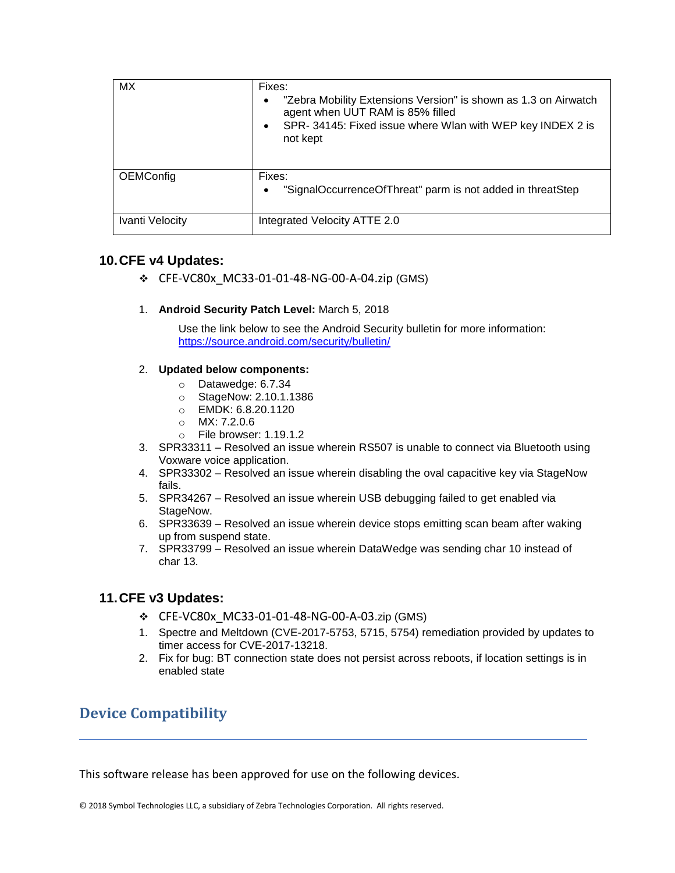| <b>MX</b>       | Fixes:<br>"Zebra Mobility Extensions Version" is shown as 1.3 on Airwatch<br>agent when UUT RAM is 85% filled<br>SPR-34145: Fixed issue where Wlan with WEP key INDEX 2 is<br>not kept |
|-----------------|----------------------------------------------------------------------------------------------------------------------------------------------------------------------------------------|
| OEMConfig       | Fixes:<br>"SignalOccurrenceOfThreat" parm is not added in threatStep                                                                                                                   |
| Ivanti Velocity | Integrated Velocity ATTE 2.0                                                                                                                                                           |

#### **10.CFE v4 Updates:**

- ❖ CFE-VC80x\_MC33-01-01-48-NG-00-A-04.zip (GMS)
- 1. **Android Security Patch Level:** March 5, 2018

Use the link below to see the Android Security bulletin for more information: <https://source.android.com/security/bulletin/>

#### 2. **Updated below components:**

- o Datawedge: 6.7.34
- o StageNow: 2.10.1.1386
- o EMDK: 6.8.20.1120
- o MX: 7.2.0.6
- o File browser: 1.19.1.2
- 3. SPR33311 Resolved an issue wherein RS507 is unable to connect via Bluetooth using Voxware voice application.
- 4. SPR33302 Resolved an issue wherein disabling the oval capacitive key via StageNow fails.
- 5. SPR34267 Resolved an issue wherein USB debugging failed to get enabled via StageNow.
- 6. SPR33639 Resolved an issue wherein device stops emitting scan beam after waking up from suspend state.
- 7. SPR33799 Resolved an issue wherein DataWedge was sending char 10 instead of char 13.

#### **11.CFE v3 Updates:**

- ❖ CFE-VC80x\_MC33-01-01-48-NG-00-A-03.zip (GMS)
- 1. Spectre and Meltdown (CVE-2017-5753, 5715, 5754) remediation provided by updates to timer access for CVE-2017-13218.
- 2. Fix for bug: BT connection state does not persist across reboots, if location settings is in enabled state

## <span id="page-10-0"></span>**Device Compatibility**

This software release has been approved for use on the following devices.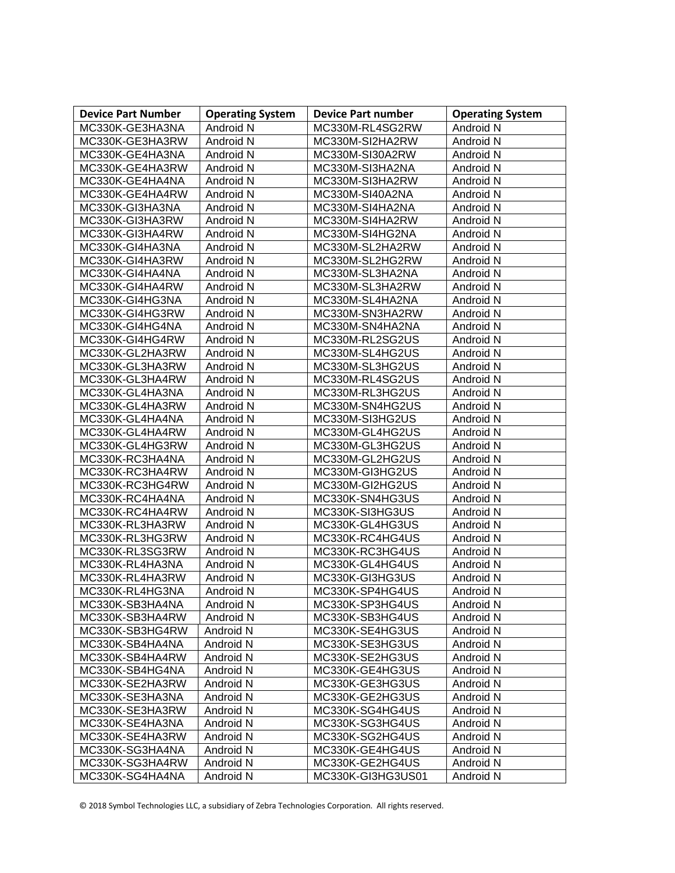| <b>Device Part Number</b> | <b>Operating System</b> | <b>Device Part number</b> | <b>Operating System</b> |
|---------------------------|-------------------------|---------------------------|-------------------------|
| MC330K-GE3HA3NA           | Android N               | MC330M-RL4SG2RW           | Android N               |
| MC330K-GE3HA3RW           | Android N               | MC330M-SI2HA2RW           | Android N               |
| MC330K-GE4HA3NA           | Android N               | MC330M-SI30A2RW           | Android N               |
| MC330K-GE4HA3RW           | Android N               | MC330M-SI3HA2NA           | Android N               |
| MC330K-GE4HA4NA           | Android N               | MC330M-SI3HA2RW           | Android N               |
| MC330K-GE4HA4RW           | Android N               | MC330M-SI40A2NA           | Android N               |
| MC330K-GI3HA3NA           | Android N               | MC330M-SI4HA2NA           | Android N               |
| MC330K-GI3HA3RW           | Android N               | MC330M-SI4HA2RW           | Android N               |
| MC330K-GI3HA4RW           | Android N               | MC330M-SI4HG2NA           | Android N               |
| MC330K-GI4HA3NA           | Android N               | MC330M-SL2HA2RW           | Android N               |
| MC330K-GI4HA3RW           | Android N               | MC330M-SL2HG2RW           | Android N               |
| MC330K-GI4HA4NA           | Android N               | MC330M-SL3HA2NA           | Android N               |
| MC330K-GI4HA4RW           | Android N               | MC330M-SL3HA2RW           | Android N               |
| MC330K-GI4HG3NA           | Android N               | MC330M-SL4HA2NA           | Android N               |
| MC330K-GI4HG3RW           | Android N               | MC330M-SN3HA2RW           | Android N               |
| MC330K-GI4HG4NA           | Android N               | MC330M-SN4HA2NA           | Android N               |
| MC330K-GI4HG4RW           | Android N               | MC330M-RL2SG2US           | Android N               |
| MC330K-GL2HA3RW           | Android N               | MC330M-SL4HG2US           | Android N               |
| MC330K-GL3HA3RW           | Android N               | MC330M-SL3HG2US           | Android N               |
| MC330K-GL3HA4RW           | Android N               | MC330M-RL4SG2US           | Android N               |
| MC330K-GL4HA3NA           | Android N               | MC330M-RL3HG2US           | Android N               |
| MC330K-GL4HA3RW           | Android N               | MC330M-SN4HG2US           | Android N               |
| MC330K-GL4HA4NA           | Android N               | MC330M-SI3HG2US           | Android N               |
| MC330K-GL4HA4RW           | Android N               | MC330M-GL4HG2US           | Android N               |
| MC330K-GL4HG3RW           | Android N               | MC330M-GL3HG2US           | Android N               |
| MC330K-RC3HA4NA           | Android N               | MC330M-GL2HG2US           | Android N               |
| MC330K-RC3HA4RW           | Android N               | MC330M-GI3HG2US           | Android N               |
| MC330K-RC3HG4RW           | Android N               | MC330M-GI2HG2US           | Android N               |
| MC330K-RC4HA4NA           | Android N               | MC330K-SN4HG3US           | Android N               |
| MC330K-RC4HA4RW           | Android N               | MC330K-SI3HG3US           | Android N               |
| MC330K-RL3HA3RW           | Android N               | MC330K-GL4HG3US           | Android N               |
| MC330K-RL3HG3RW           | Android N               | MC330K-RC4HG4US           | Android N               |
| MC330K-RL3SG3RW           | Android N               | MC330K-RC3HG4US           | Android N               |
| MC330K-RL4HA3NA           | Android N               | MC330K-GL4HG4US           | Android N               |
| MC330K-RL4HA3RW           | Android N               | MC330K-GI3HG3US           | Android N               |
| MC330K-RL4HG3NA           | Android N               | MC330K-SP4HG4US           | Android N               |
| MC330K-SB3HA4NA           | Android N               | MC330K-SP3HG4US           | Android N               |
| MC330K-SB3HA4RW           | Android N               | MC330K-SB3HG4US           | Android N               |
| MC330K-SB3HG4RW           | Android N               | MC330K-SE4HG3US           | Android N               |
| MC330K-SB4HA4NA           | Android N               | MC330K-SE3HG3US           | Android N               |
| MC330K-SB4HA4RW           | Android N               | MC330K-SE2HG3US           | Android N               |
| MC330K-SB4HG4NA           | Android N               | MC330K-GE4HG3US           | Android N               |
| MC330K-SE2HA3RW           | Android N               | MC330K-GE3HG3US           | Android N               |
| MC330K-SE3HA3NA           | Android N               | MC330K-GE2HG3US           | Android N               |
| MC330K-SE3HA3RW           | Android N               | MC330K-SG4HG4US           | Android N               |
| MC330K-SE4HA3NA           | Android N               | MC330K-SG3HG4US           | Android N               |
| MC330K-SE4HA3RW           | Android N               | MC330K-SG2HG4US           | Android N               |
| MC330K-SG3HA4NA           | Android N               | MC330K-GE4HG4US           | Android N               |
| MC330K-SG3HA4RW           | Android N               | MC330K-GE2HG4US           | Android N               |
| MC330K-SG4HA4NA           | Android N               | MC330K-GI3HG3US01         | Android N               |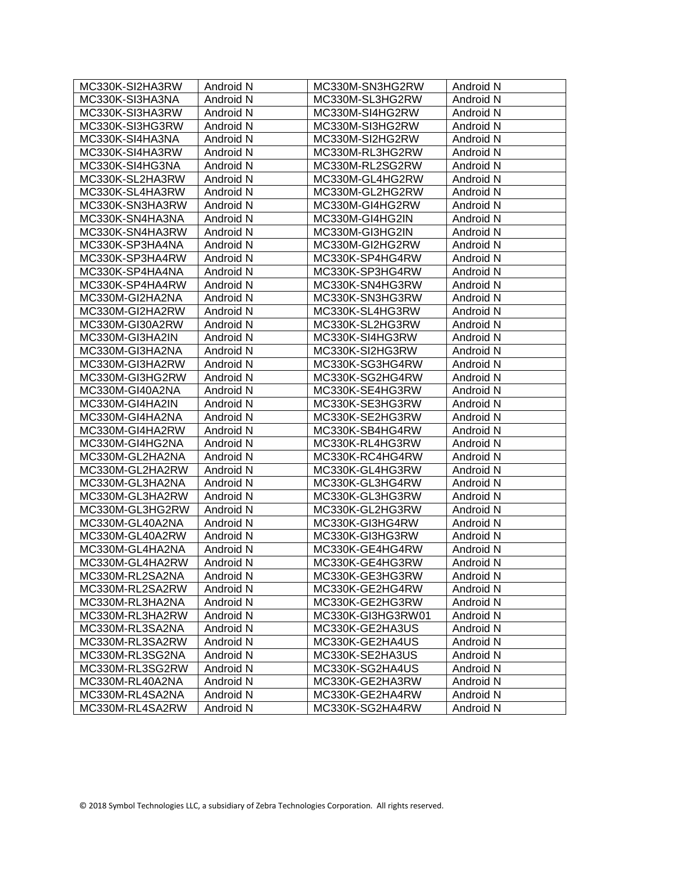<span id="page-12-0"></span>

| MC330K-SI2HA3RW | Android N | MC330M-SN3HG2RW   | Android N |
|-----------------|-----------|-------------------|-----------|
| MC330K-SI3HA3NA | Android N | MC330M-SL3HG2RW   | Android N |
| MC330K-SI3HA3RW | Android N | MC330M-SI4HG2RW   | Android N |
| MC330K-SI3HG3RW | Android N | MC330M-SI3HG2RW   | Android N |
| MC330K-SI4HA3NA | Android N | MC330M-SI2HG2RW   | Android N |
| MC330K-SI4HA3RW | Android N | MC330M-RL3HG2RW   | Android N |
| MC330K-SI4HG3NA | Android N | MC330M-RL2SG2RW   | Android N |
| MC330K-SL2HA3RW | Android N | MC330M-GL4HG2RW   | Android N |
| MC330K-SL4HA3RW | Android N | MC330M-GL2HG2RW   | Android N |
| MC330K-SN3HA3RW | Android N | MC330M-GI4HG2RW   | Android N |
| MC330K-SN4HA3NA | Android N | MC330M-GI4HG2IN   | Android N |
| MC330K-SN4HA3RW | Android N | MC330M-GI3HG2IN   | Android N |
| MC330K-SP3HA4NA | Android N | MC330M-GI2HG2RW   | Android N |
| MC330K-SP3HA4RW | Android N | MC330K-SP4HG4RW   | Android N |
| MC330K-SP4HA4NA | Android N | MC330K-SP3HG4RW   | Android N |
| MC330K-SP4HA4RW | Android N | MC330K-SN4HG3RW   | Android N |
| MC330M-GI2HA2NA | Android N | MC330K-SN3HG3RW   | Android N |
| MC330M-GI2HA2RW | Android N | MC330K-SL4HG3RW   | Android N |
| MC330M-GI30A2RW | Android N | MC330K-SL2HG3RW   | Android N |
| MC330M-GI3HA2IN | Android N | MC330K-SI4HG3RW   | Android N |
| MC330M-GI3HA2NA | Android N | MC330K-SI2HG3RW   | Android N |
| MC330M-GI3HA2RW | Android N | MC330K-SG3HG4RW   | Android N |
| MC330M-GI3HG2RW | Android N | MC330K-SG2HG4RW   | Android N |
| MC330M-GI40A2NA | Android N | MC330K-SE4HG3RW   | Android N |
| MC330M-GI4HA2IN | Android N | MC330K-SE3HG3RW   | Android N |
| MC330M-GI4HA2NA | Android N | MC330K-SE2HG3RW   | Android N |
| MC330M-GI4HA2RW | Android N | MC330K-SB4HG4RW   | Android N |
| MC330M-GI4HG2NA | Android N | MC330K-RL4HG3RW   | Android N |
| MC330M-GL2HA2NA | Android N | MC330K-RC4HG4RW   | Android N |
| MC330M-GL2HA2RW | Android N | MC330K-GL4HG3RW   | Android N |
| MC330M-GL3HA2NA | Android N | MC330K-GL3HG4RW   | Android N |
| MC330M-GL3HA2RW | Android N | MC330K-GL3HG3RW   | Android N |
| MC330M-GL3HG2RW | Android N | MC330K-GL2HG3RW   | Android N |
| MC330M-GL40A2NA | Android N | MC330K-GI3HG4RW   | Android N |
| MC330M-GL40A2RW | Android N | MC330K-GI3HG3RW   | Android N |
| MC330M-GL4HA2NA | Android N | MC330K-GE4HG4RW   | Android N |
| MC330M-GL4HA2RW | Android N | MC330K-GE4HG3RW   | Android N |
| MC330M-RL2SA2NA | Android N | MC330K-GE3HG3RW   | Android N |
| MC330M-RL2SA2RW | Android N | MC330K-GE2HG4RW   | Android N |
| MC330M-RL3HA2NA | Android N | MC330K-GE2HG3RW   | Android N |
| MC330M-RL3HA2RW | Android N | MC330K-GI3HG3RW01 | Android N |
| MC330M-RL3SA2NA | Android N | MC330K-GE2HA3US   | Android N |
| MC330M-RL3SA2RW | Android N | MC330K-GE2HA4US   | Android N |
| MC330M-RL3SG2NA | Android N | MC330K-SE2HA3US   | Android N |
| MC330M-RL3SG2RW | Android N | MC330K-SG2HA4US   | Android N |
| MC330M-RL40A2NA | Android N | MC330K-GE2HA3RW   | Android N |
| MC330M-RL4SA2NA | Android N | MC330K-GE2HA4RW   | Android N |
| MC330M-RL4SA2RW | Android N | MC330K-SG2HA4RW   | Android N |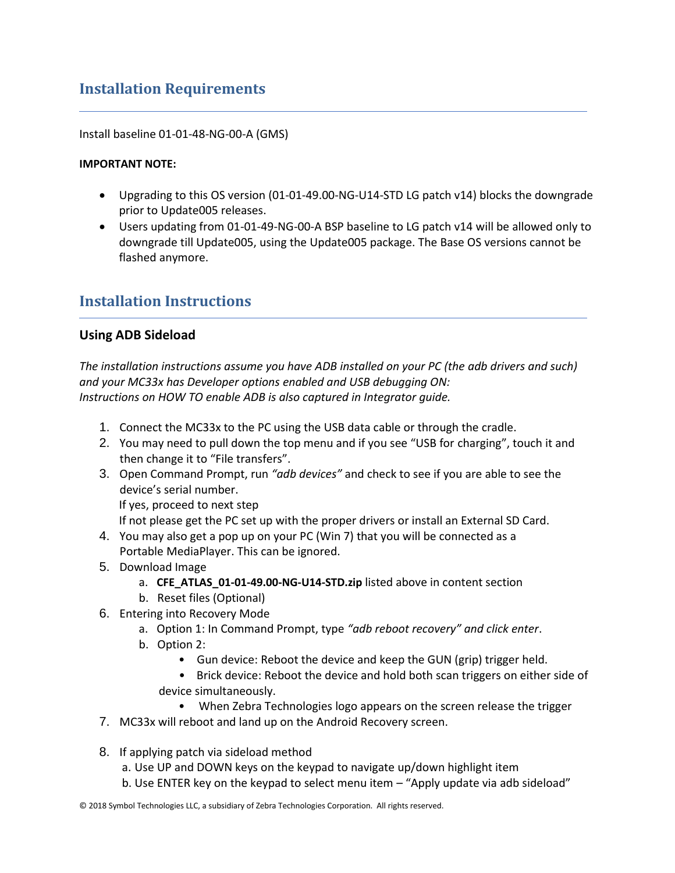## **Installation Requirements**

Install baseline 01-01-48-NG-00-A (GMS)

#### **IMPORTANT NOTE:**

- Upgrading to this OS version (01-01-49.00-NG-U14-STD LG patch v14) blocks the downgrade prior to Update005 releases.
- Users updating from 01-01-49-NG-00-A BSP baseline to LG patch v14 will be allowed only to downgrade till Update005, using the Update005 package. The Base OS versions cannot be flashed anymore.

## <span id="page-13-0"></span>**Installation Instructions**

#### **Using ADB Sideload**

*The installation instructions assume you have ADB installed on your PC (the adb drivers and such) and your MC33x has Developer options enabled and USB debugging ON: Instructions on HOW TO enable ADB is also captured in Integrator guide.*

- 1. Connect the MC33x to the PC using the USB data cable or through the cradle.
- 2. You may need to pull down the top menu and if you see "USB for charging", touch it and then change it to "File transfers".
- 3. Open Command Prompt, run *"adb devices"* and check to see if you are able to see the device's serial number.

If yes, proceed to next step

If not please get the PC set up with the proper drivers or install an External SD Card.

- 4. You may also get a pop up on your PC (Win 7) that you will be connected as a Portable MediaPlayer. This can be ignored.
- 5. Download Image
	- a. **CFE\_ATLAS\_01-01-49.00-NG-U14-STD.zip** listed above in content section
	- b. Reset files (Optional)
- 6. Entering into Recovery Mode
	- a. Option 1: In Command Prompt, type *"adb reboot recovery" and click enter*.
	- b. Option 2:
		- Gun device: Reboot the device and keep the GUN (grip) trigger held.
		- Brick device: Reboot the device and hold both scan triggers on either side of device simultaneously.
			- When Zebra Technologies logo appears on the screen release the trigger
- 7. MC33x will reboot and land up on the Android Recovery screen.
- 8. If applying patch via sideload method
	- a. Use UP and DOWN keys on the keypad to navigate up/down highlight item
	- b. Use ENTER key on the keypad to select menu item "Apply update via adb sideload"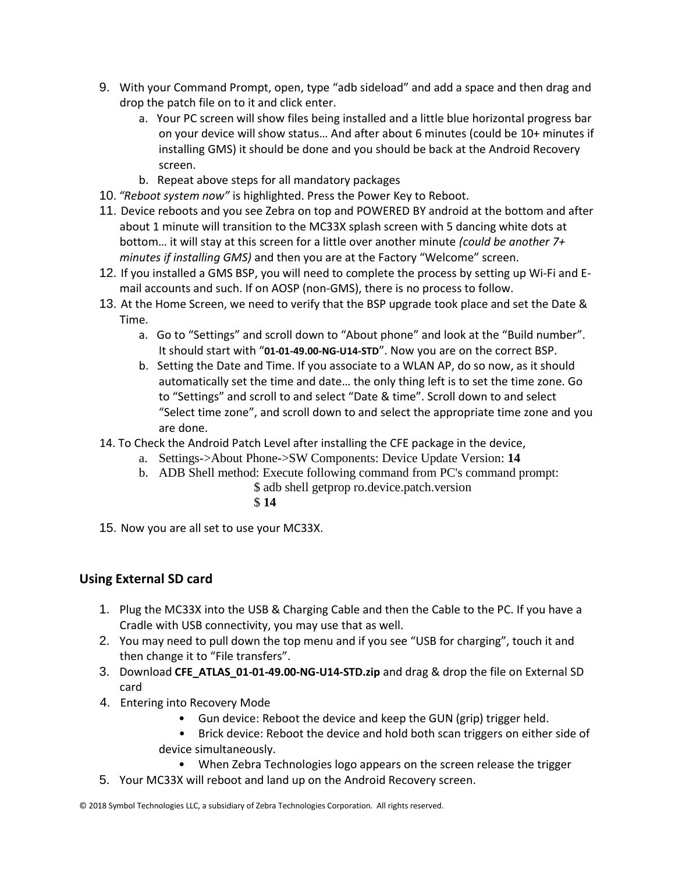- 9. With your Command Prompt, open, type "adb sideload" and add a space and then drag and drop the patch file on to it and click enter.
	- a. Your PC screen will show files being installed and a little blue horizontal progress bar on your device will show status… And after about 6 minutes (could be 10+ minutes if installing GMS) it should be done and you should be back at the Android Recovery screen.
	- b. Repeat above steps for all mandatory packages
- 10. *"Reboot system now"* is highlighted. Press the Power Key to Reboot.
- 11. Device reboots and you see Zebra on top and POWERED BY android at the bottom and after about 1 minute will transition to the MC33X splash screen with 5 dancing white dots at bottom… it will stay at this screen for a little over another minute *(could be another 7+ minutes if installing GMS)* and then you are at the Factory "Welcome" screen.
- 12. If you installed a GMS BSP, you will need to complete the process by setting up Wi‐Fi and E‐ mail accounts and such. If on AOSP (non‐GMS), there is no process to follow.
- 13. At the Home Screen, we need to verify that the BSP upgrade took place and set the Date & Time.
	- a. Go to "Settings" and scroll down to "About phone" and look at the "Build number". It should start with "**01-01-49.00-NG-U14-STD**". Now you are on the correct BSP.
	- b. Setting the Date and Time. If you associate to a WLAN AP, do so now, as it should automatically set the time and date… the only thing left is to set the time zone. Go to "Settings" and scroll to and select "Date & time". Scroll down to and select "Select time zone", and scroll down to and select the appropriate time zone and you are done.
- 14. To Check the Android Patch Level after installing the CFE package in the device,
	- a. Settings->About Phone->SW Components: Device Update Version: **14**
	- b. ADB Shell method: Execute following command from PC's command prompt:
		- \$ adb shell getprop ro.device.patch.version
			- \$ **14**
- 15. Now you are all set to use your MC33X.

## **Using External SD card**

- 1. Plug the MC33X into the USB & Charging Cable and then the Cable to the PC. If you have a Cradle with USB connectivity, you may use that as well.
- 2. You may need to pull down the top menu and if you see "USB for charging", touch it and then change it to "File transfers".
- 3. Download **CFE\_ATLAS\_01-01-49.00-NG-U14-STD.zip** and drag & drop the file on External SD card
- 4. Entering into Recovery Mode
	- Gun device: Reboot the device and keep the GUN (grip) trigger held.
	- Brick device: Reboot the device and hold both scan triggers on either side of device simultaneously.
		- When Zebra Technologies logo appears on the screen release the trigger
- 5. Your MC33X will reboot and land up on the Android Recovery screen.